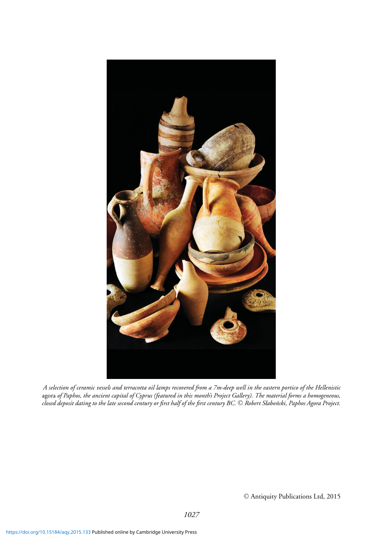

*A selection of ceramic vessels and terracotta oil lamps recovered from a 7m-deep well in the eastern portico of the Hellenistic* agora *of Paphos, the ancient capital of Cyprus (featured in this month's Project Gallery). The material forms a homogeneous,* closed deposit dating to the late second century or first half of the first century BC. © Robert Słaboński, Paphos Agora Project.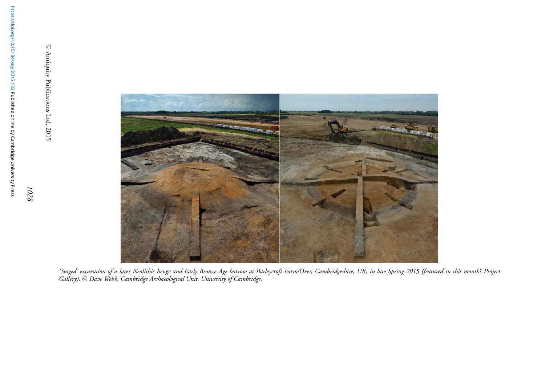$\circ$ Antiquity Publications Ltd, 2015



'Staged' excavation of a later Neolithic henge and Early Bronze Age barrow at Barleycroft Farm/Over, Cambridgeshire, UK, in late Spring 2015 (featured in this month's Project *Gallery).* -C *Dave Webb, Cambridge Archaeological Unit, University of Cambridge.*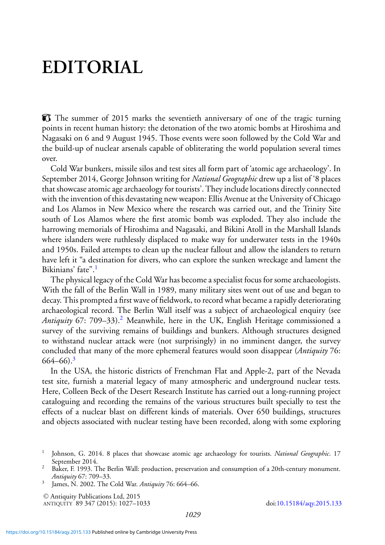# **EDITORIAL**

The summer of 2015 marks the seventieth anniversary of one of the tragic turning points in recent human history: the detonation of the two atomic bombs at Hiroshima and Nagasaki on 6 and 9 August 1945. Those events were soon followed by the Cold War and the build-up of nuclear arsenals capable of obliterating the world population several times over.

Cold War bunkers, missile silos and test sites all form part of 'atomic age archaeology'. In September 2014, George Johnson writing for *National Geographic* drew up a list of '8 places that showcase atomic age archaeology for tourists'. They include locations directly connected with the invention of this devastating new weapon: Ellis Avenue at the University of Chicago and Los Alamos in New Mexico where the research was carried out, and the Trinity Site south of Los Alamos where the first atomic bomb was exploded. They also include the harrowing memorials of Hiroshima and Nagasaki, and Bikini Atoll in the Marshall Islands where islanders were ruthlessly displaced to make way for underwater tests in the 1940s and 1950s. Failed attempts to clean up the nuclear fallout and allow the islanders to return have left it "a destination for divers, who can explore the sunken wreckage and lament the Bikinians' fate".<sup>1</sup>

The physical legacy of the Cold War has become a specialist focus for some archaeologists. With the fall of the Berlin Wall in 1989, many military sites went out of use and began to decay. This prompted a first wave of fieldwork, to record what became a rapidly deteriorating archaeological record. The Berlin Wall itself was a subject of archaeological enquiry (see *Antiquity* 67: 709–33).<sup>2</sup> Meanwhile, here in the UK, English Heritage commissioned a survey of the surviving remains of buildings and bunkers. Although structures designed to withstand nuclear attack were (not surprisingly) in no imminent danger, the survey concluded that many of the more ephemeral features would soon disappear (*Antiquity* 76:  $664 - 66$ )<sup>3</sup>

In the USA, the historic districts of Frenchman Flat and Apple-2, part of the Nevada test site, furnish a material legacy of many atmospheric and underground nuclear tests. Here, Colleen Beck of the Desert Research Institute has carried out a long-running project cataloguing and recording the remains of the various structures built specially to test the effects of a nuclear blast on different kinds of materials. Over 650 buildings, structures and objects associated with nuclear testing have been recorded, along with some exploring

-<sup>C</sup> Antiquity Publications Ltd, 2015 ANTIQUITY 89 347 (2015): 1027–1033 doi[:10.15184/aqy.2015.133](http://dx.doi.org/10.15184/aqy.2015.133)

<sup>1</sup> Johnson, G. 2014. 8 places that showcase atomic age archaeology for tourists. *National Geographic*. 17

<sup>&</sup>lt;sup>2</sup> Baker, F. 1993. The Berlin Wall: production, preservation and consumption of a 20th-century monument. *Antiquity* 67: 709–33. <sup>3</sup> James, N. 2002. The Cold War. *Antiquity* 76: 664–66.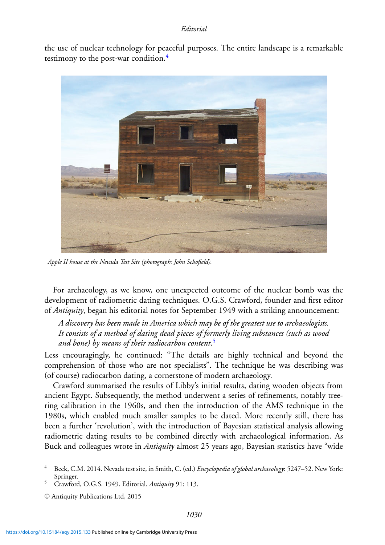#### *Editorial*

the use of nuclear technology for peaceful purposes. The entire landscape is a remarkable testimony to the post-war condition.<sup>4</sup>



*Apple II house at the Nevada Test Site (photograph: John Schofield).*

For archaeology, as we know, one unexpected outcome of the nuclear bomb was the development of radiometric dating techniques. O.G.S. Crawford, founder and first editor of *Antiquity*, began his editorial notes for September 1949 with a striking announcement:

*A discovery has been made in America which may be of the greatest use to archaeologists. It consists of a method of dating dead pieces of formerly living substances (such as wood and bone) by means of their radiocarbon content*. 5

Less encouragingly, he continued: "The details are highly technical and beyond the comprehension of those who are not specialists". The technique he was describing was (of course) radiocarbon dating, a cornerstone of modern archaeology.

Crawford summarised the results of Libby's initial results, dating wooden objects from ancient Egypt. Subsequently, the method underwent a series of refinements, notably treering calibration in the 1960s, and then the introduction of the AMS technique in the 1980s, which enabled much smaller samples to be dated. More recently still, there has been a further 'revolution', with the introduction of Bayesian statistical analysis allowing radiometric dating results to be combined directly with archaeological information. As Buck and colleagues wrote in *Antiquity* almost 25 years ago, Bayesian statistics have "wide

<sup>4</sup> Beck, C.M. 2014. Nevada test site, in Smith, C. (ed.) *Encyclopedia of global archaeology*: 5247–52. New York: Springer.<br>Crawford, O.G.S. 1949. Editorial. *Antiquity* 91: 113.

<sup>-</sup><sup>C</sup> Antiquity Publications Ltd, 2015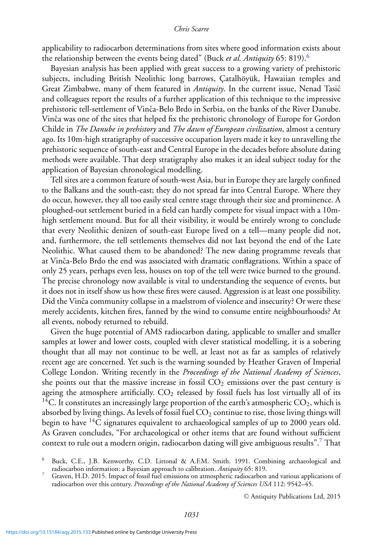### *Chris Scarre*

applicability to radiocarbon determinations from sites where good information exists about the relationship between the events being dated" (Buck *et al. Antiquity* 65: 819).<sup>6</sup>

Bayesian analysis has been applied with great success to a growing variety of prehistoric subjects, including British Neolithic long barrows, Catalhöyük, Hawaiian temples and Great Zimbabwe, many of them featured in *Antiquity*. In the current issue, Nenad Tasic´ and colleagues report the results of a further application of this technique to the impressive prehistoric tell-settlement of Vinča-Belo Brdo in Serbia, on the banks of the River Danube. Vinča was one of the sites that helped fix the prehistoric chronology of Europe for Gordon Childe in *The Danube in prehistory* and *The dawn of European civilization*, almost a century ago. Its 10m-high stratigraphy of successive occupation layers made it key to unravelling the prehistoric sequence of south-east and Central Europe in the decades before absolute dating methods were available. That deep stratigraphy also makes it an ideal subject today for the application of Bayesian chronological modelling.

Tell sites are a common feature of south-west Asia, but in Europe they are largely confined to the Balkans and the south-east; they do not spread far into Central Europe. Where they do occur, however, they all too easily steal centre stage through their size and prominence. A ploughed-out settlement buried in a field can hardly compete for visual impact with a 10mhigh settlement mound. But for all their visibility, it would be entirely wrong to conclude that every Neolithic denizen of south-east Europe lived on a tell—many people did not, and, furthermore, the tell settlements themselves did not last beyond the end of the Late Neolithic. What caused them to be abandoned? The new dating programme reveals that at Vinča-Belo Brdo the end was associated with dramatic conflagrations. Within a space of only 25 years, perhaps even less, houses on top of the tell were twice burned to the ground. The precise chronology now available is vital to understanding the sequence of events, but it does not in itself show us how these fires were caused. Aggression is at least one possibility. Did the Vinča community collapse in a maelstrom of violence and insecurity? Or were these merely accidents, kitchen fires, fanned by the wind to consume entire neighbourhoods? At all events, nobody returned to rebuild.

Given the huge potential of AMS radiocarbon dating, applicable to smaller and smaller samples at lower and lower costs, coupled with clever statistical modelling, it is a sobering thought that all may not continue to be well, at least not as far as samples of relatively recent age are concerned. Yet such is the warning sounded by Heather Graven of Imperial College London. Writing recently in the *Proceedings of the National Academy of Sciences*, she points out that the massive increase in fossil  $CO<sub>2</sub>$  emissions over the past century is ageing the atmosphere artificially.  $CO<sub>2</sub>$  released by fossil fuels has lost virtually all of its <sup>14</sup>C. It constitutes an increasingly large proportion of the earth's atmospheric  $CO_2$ , which is absorbed by living things. As levels of fossil fuel  $CO<sub>2</sub>$  continue to rise, those living things will begin to have  $^{14}C$  signatures equivalent to archaeological samples of up to 2000 years old. As Graven concludes, "For archaeological or other items that are found without sufficient context to rule out a modern origin, radiocarbon dating will give ambiguous results".7 That

© Antiquity Publications Ltd, 2015

<sup>6</sup> Buck, C.E., J.B. Kenworthy, C.D. Littonal & A.F.M. Smith. 1991. Combining archaeological and radiocarbon information: a Bayesian approach to calibration. *Antiquity* 65: 819.<br>Graven, H.D. 2015. Impact of fossil fuel emissions on atmospheric radiocarbon and various applications of

radiocarbon over this century. *Proceedings of the National Academy of Sciences USA* 112: 9542–45.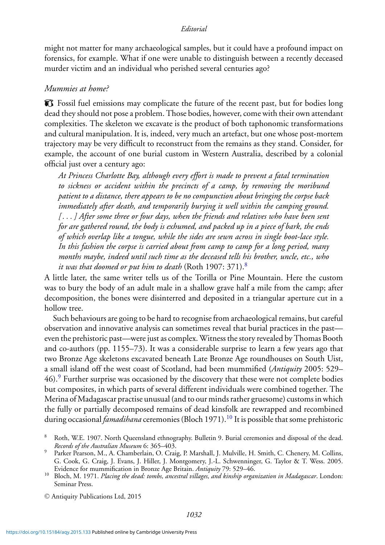### *Editorial*

might not matter for many archaeological samples, but it could have a profound impact on forensics, for example. What if one were unable to distinguish between a recently deceased murder victim and an individual who perished several centuries ago?

## *Mummies at home?*

Fossil fuel emissions may complicate the future of the recent past, but for bodies long dead they should not pose a problem. Those bodies, however, come with their own attendant complexities. The skeleton we excavate is the product of both taphonomic transformations and cultural manipulation. It is, indeed, very much an artefact, but one whose post-mortem trajectory may be very difficult to reconstruct from the remains as they stand. Consider, for example, the account of one burial custom in Western Australia, described by a colonial official just over a century ago:

*At Princess Charlotte Bay, although every effort is made to prevent a fatal termination to sickness or accident within the precincts of a camp, by removing the moribund patient to a distance, there appears to be no compunction about bringing the corpse back immediately after death, and temporarily burying it well within the camping ground. [ . . . ] After some three or four days, when the friends and relatives who have been sent for are gathered round, the body is exhumed, and packed up in a piece of bark, the ends of which overlap like a tongue, while the sides are sewn across in single boot-lace style. In this fashion the corpse is carried about from camp to camp for a long period, many months maybe, indeed until such time as the deceased tells his brother, uncle, etc., who it was that doomed or put him to death* (Roth 1907: 371).8

A little later, the same writer tells us of the Torilla or Pine Mountain. Here the custom was to bury the body of an adult male in a shallow grave half a mile from the camp; after decomposition, the bones were disinterred and deposited in a triangular aperture cut in a hollow tree.

Such behaviours are going to be hard to recognise from archaeological remains, but careful observation and innovative analysis can sometimes reveal that burial practices in the past even the prehistoric past—were just as complex. Witness the story revealed by Thomas Booth and co-authors (pp. 1155–73). It was a considerable surprise to learn a few years ago that two Bronze Age skeletons excavated beneath Late Bronze Age roundhouses on South Uist, a small island off the west coast of Scotland, had been mummified (*Antiquity* 2005: 529– 46).9 Further surprise was occasioned by the discovery that these were not complete bodies but composites, in which parts of several different individuals were combined together. The Merina of Madagascar practise unusual (and to our minds rather gruesome) customs in which the fully or partially decomposed remains of dead kinsfolk are rewrapped and recombined during occasional *famadihana* ceremonies (Bloch 1971).<sup>10</sup> It is possible that some prehistoric

<sup>8</sup> Roth, W.E. 1907. North Queensland ethnography. Bulletin 9. Burial ceremonies and disposal of the dead. *Records of the Australian Museum* 6: 365–403.<br>Parker Pearson, M., A. Chamberlain, O. Craig, P. Marshall, J. Mulville, H. Smith, C. Chenery, M. Collins,

G. Cook, G. Craig, J. Evans, J. Hiller, J. Montgomery, J.-L. Schwenninger, G. Taylor & T. Wess. 2005. Evidence for mummification in Bronze Age Britain. Antiquity 79: 529–46.

<sup>&</sup>lt;sup>10</sup> Bloch, M. 1971. *Placing the dead: tombs, ancestral villages, and kinship organization in Madagascar. London:* Seminar Press.

<sup>-</sup><sup>C</sup> Antiquity Publications Ltd, 2015